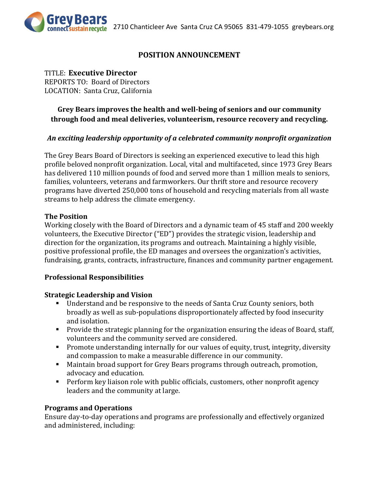

## **POSITION ANNOUNCEMENT**

### TITLE: **Executive Director**

REPORTS TO: Board of Directors LOCATION: Santa Cruz, California

## **Grey Bears improves the health and well-being of seniors and our community through food and meal deliveries, volunteerism, resource recovery and recycling.**

### *An exciting leadership opportunity of a celebrated community nonprofit organization*

The Grey Bears Board of Directors is seeking an experienced executive to lead this high profile beloved nonprofit organization. Local, vital and multifaceted, since 1973 Grey Bears has delivered 110 million pounds of food and served more than 1 million meals to seniors, families, volunteers, veterans and farmworkers. Our thrift store and resource recovery programs have diverted 250,000 tons of household and recycling materials from all waste streams to help address the climate emergency.

#### **The Position**

Working closely with the Board of Directors and a dynamic team of 45 staff and 200 weekly volunteers, the Executive Director ("ED") provides the strategic vision, leadership and direction for the organization, its programs and outreach. Maintaining a highly visible, positive professional profile, the ED manages and oversees the organization's activities, fundraising, grants, contracts, infrastructure, finances and community partner engagement.

#### **Professional Responsibilities**

#### **Strategic Leadership and Vision**

- Understand and be responsive to the needs of Santa Cruz County seniors, both broadly as well as sub-populations disproportionately affected by food insecurity and isolation.
- **Provide the strategic planning for the organization ensuring the ideas of Board, staff,** volunteers and the community served are considered.
- **Promote understanding internally for our values of equity, trust, integrity, diversity** and compassion to make a measurable difference in our community.
- Maintain broad support for Grey Bears programs through outreach, promotion, advocacy and education.
- **Perform key liaison role with public officials, customers, other nonprofit agency** leaders and the community at large.

#### **Programs and Operations**

Ensure day-to-day operations and programs are professionally and effectively organized and administered, including: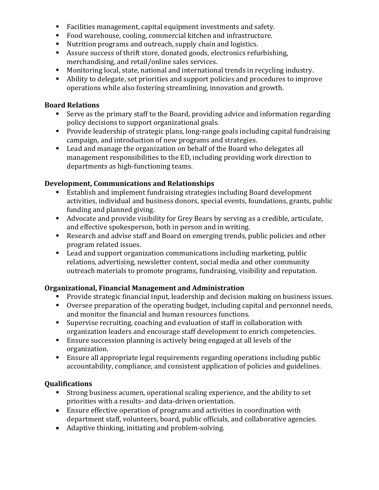- Facilities management, capital equipment investments and safety.
- Food warehouse, cooling, commercial kitchen and infrastructure.
- Nutrition programs and outreach, supply chain and logistics.
- Assure success of thrift store, donated goods, electronics refurbishing, merchandising, and retail/online sales services.
- Monitoring local, state, national and international trends in recycling industry.
- Ability to delegate, set priorities and support policies and procedures to improve operations while also fostering streamlining, innovation and growth.

### **Board Relations**

- Serve as the primary staff to the Board, providing advice and information regarding policy decisions to support organizational goals.
- **Provide leadership of strategic plans, long-range goals including capital fundraising** campaign, and introduction of new programs and strategies.
- Lead and manage the organization on behalf of the Board who delegates all management responsibilities to the ED, including providing work direction to departments as high-functioning teams.

## **Development, Communications and Relationships**

- Establish and implement fundraising strategies including Board development activities, individual and business donors, special events, foundations, grants, public funding and planned giving.
- Advocate and provide visibility for Grey Bears by serving as a credible, articulate, and effective spokesperson, both in person and in writing.
- Research and advise staff and Board on emerging trends, public policies and other program related issues.
- Lead and support organization communications including marketing, public relations, advertising, newsletter content, social media and other community outreach materials to promote programs, fundraising, visibility and reputation.

# **Organizational, Financial Management and Administration**

- Provide strategic financial input, leadership and decision making on business issues.
- Oversee preparation of the operating budget, including capital and personnel needs, and monitor the financial and human resources functions.
- Supervise recruiting, coaching and evaluation of staff in collaboration with organization leaders and encourage staff development to enrich competencies.
- Ensure succession planning is actively being engaged at all levels of the organization.
- Ensure all appropriate legal requirements regarding operations including public accountability, compliance, and consistent application of policies and guidelines.

## **Qualifications**

- Strong business acumen, operational scaling experience, and the ability to set priorities with a results- and data-driven orientation.
- Ensure effective operation of programs and activities in coordination with department staff, volunteers, board, public officials, and collaborative agencies.
- Adaptive thinking, initiating and problem-solving.